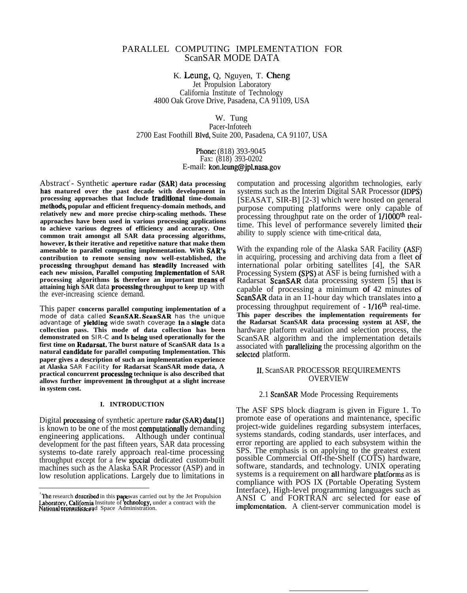# PARALLEL COMPUTING IMPLEMENTATION FOR ScanSAR MODE DATA

K. Leung, Q, Nguyen, T. Cheng Jet Propulsion Laboratory California Institute of Technology 4800 Oak Grove Drive, Pasadena, CA 91109, USA

W. Tung

Pacer-Infoteeh 2700 East Foothill Blvd, Suite 200, Pasadena, CA 91107, USA

> Phone: (818) 393-9045 Fax: (818) 393-0202 E-mail: kon.leung@jpl.nasa,gov

Abstract<sup>'</sup>- Synthetic aperture radar (SAR) data processing **has matured over the past decade with development in** processing approaches that Include **traditional** time-domain methods, popular and efficient frequency-domain methods, and **relatively new and more precise chirp-scaling methods. These approaches have been used in various processing applications to achieve various degrees of efficiency and accuracy. One common trait amongst all SAR data processing algorithms, however, is their iterative and repetitive nature that make them amenable to parallel computing implementation. With SAR'S contribution to remote sensing now well-established, the processhsg throughput demand has steadjly Increased with each new mission, Parallel computing jmplementatlon of SAR processing algorithms is therefore an important means of attaining high SAR** data **proeesshrg throughput to keep** up with the ever-increasing science demand.

This paper **concerns parallel computing implementation of a** mode of data called ScanSAR. ScanSAR has the unique advantage of yleldlng wide swath coverage in a single data **collection pass. This mode of data collection has been demonstrated on** SIR-C **and Is bebtg used operationally for the first time on Radarsat. The burst nature of ScanSAR data 1s a natural candjdate for parallel computing Implementation. This paper gives a description of such an implementation experience at Alaska** SAR Facility **for Radarsat ScanSAR mode data, A** practical concurrent processing technique is also described that **allows further improvement in throughput at a slight increase in system cost.**

#### **I. INTRODUCTION**

Digital processing of synthetic aperture radar (SAR) data[1] is known to be one of the most computationally demanding engineering applications. Although under continual development for the past fifteen years, SAR data processing systems to-date rarely approach real-time processing throughput except for a few spcciat dedicated custom-built machines such as the Alaska SAR Processor (ASP) and in low resolution applications. Largely due to limitations in

computation and processing algorithm technologies, early systems such as the Interim Digital SAR Processor (IDPS) [SEASAT, SIR-B] [2-3] which were hosted on general purpose computing platforms were only capable of processing throughput rate on the order of l/lOOOth realtime. This level of performance severely limited **their** ability to supply science with time-critical data,

With the expanding role of the Alaska SAR Facility (ASF) in acquiring, processing and archiving data from a fleet of international polar orbiting satellites [4], the SAR Processing System (SPS) at ASF is being furnished with a Radarsat ScanSAR data processing system [5] thal is capable of processing a minimum of 42 minutes of ScanSAR data in an 11-hour day which translates into a processing throughput requirement of - l/16th real-time. **This paper describes the implementation requirements for the Radarsat ScanSAR data processing system aL ASF, the** hardware platform evaluation and selection process, the ScanSAR algorithm and the implementation details associated with parallelizing the processing algorithm on the selected platform.

#### 11, ScanSAR PROCESSOR REQUIREMENTS OVERVIEW

#### 2.1 ScanSAR Mode Processing Requirements

The ASF SPS block diagram is given in Figure 1. To promote ease of operations and maintenance, specific project-wide guidelines regarding subsystem interfaces, systems standards, coding standards, user interfaces, and error reporting are applied to each subsystem within the SPS. The emphasis is on applying to the greatest extent possible Commercial Off-the-Shelf (COTS) hardware, software, standards, and technology. UNIX operating systems is a requirement on all hardware platforms as is compliance with POS IX (Portable Operating System Interface), High-level programming languages such as ANSI C and FORTRAN arc selected for ease of implementation. A client-server communication model is

<sup>&</sup>lt;sup>'</sup>The research described in this papewas carried out by the Jet Propulsion<br>Laboratory, California Institute of **'echnology**, under a contract with the<br>National eronautics sud Space Administration.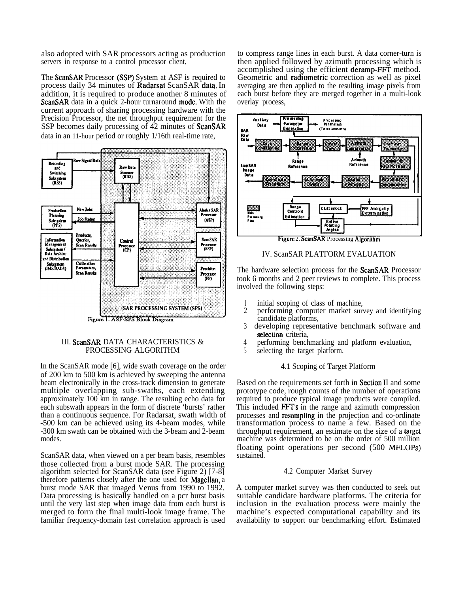also adopted with SAR processors acting as production servers in response to a control processor client,

The ScanSAR Processor (SSP) System at ASF is required to process daily 34 minutes of Radarsat ScanSAR data, In addition, it is required to produce another 8 minutes of ScanSAR data in a quick 2-hour turnaround mode. With the current approach of sharing processing hardware with the Precision Processor, the net throughput requirement for the SSP becomes daily processing of 42 minutes of ScanSAR data in an 11-hour period or roughly 1/16th real-time rate,



# III. ScanSAR DATA CHARACTERISTICS & PROCESSING ALGORITHM

In the ScanSAR mode [6], wide swath coverage on the order of 200 km to 500 km is achieved by sweeping the antenna beam electronically in the cross-track dimension to generate multiple overlapping sub-swaths, each extending approximately 100 km in range. The resulting echo data for each subswath appears in the form of discrete 'bursts' rather than a continuous sequence. For Radarsat, swath width of -500 km can be achieved using its 4-beam modes, while -300 km swath can be obtained with the 3-beam and 2-beam modes.

ScanSAR data, when viewed on a per beam basis, resembles those collected from a burst mode SAR. The processing algorithm selected for ScanSAR data (see Figure 2) [7-8] therefore patterns closely after the one used for Magellan, a burst mode SAR that imaged Venus from 1990 to 1992. Data processing is basically handled on a pcr burst basis until the very last step when image data from each burst is merged to form the final multi-look image frame. The familiar frequency-domain fast correlation approach is used to compress range lines in each burst. A data corner-turn is then applied followed by azimuth processing which is accomplished using the efficient deramp-FFT method. Geometric and radiometric correction as well as pixel averaging are then applied to the resulting image pixels from each burst before they are merged together in a multi-look overlay process,



## IV. ScanSAR PLATFORM EVALUATION

The hardware selection process for the ScanSAR Processor took 6 months and 2 peer reviews to complete. This process involved the following steps:

- 1 initial scoping of class of machine.
- 2 performing computer market survey and identifying candidate platforms,
- 3 developing representative benchmark software and selection criteria.
- 4 performing benchmarking and platform evaluation,
- 5 selecting the target platform.

# 4.1 Scoping of Target Platform

Based on the requirements set forth in Section II and some prototype code, rough counts of the number of operations required to produce typical image products were compiled. This included FFT's in the range and azimuth compression processes and rcsampling in the projection and co-ordinate transformation process to name a few. Based on the throughput requirement, an estimate on the size of a targel machine was determined to be on the order of 500 million floating point operations per second (500 MFLOPS) sustained.

# 4.2 Computer Market Survey

A computer market survey was then conducted to seek out suitable candidate hardware platforms. The criteria for inclusion in the evaluation process were mainly the machine's expected computational capability and its availability to support our benchmarking effort. Estimated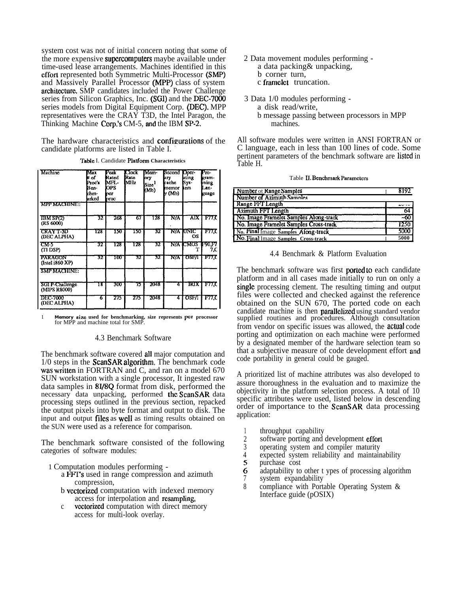system cost was not of initial concern noting that some of the more expensive supercomputers maybe available under time-used lease arrangements. Machines identified in this effort represented both Symmetric Multi-Processor (SMP) and Massively Parallel Processor (MPP) class of system architecture. SMP candidates included the Power Challenge series from Silicon Graphics, Inc. (SGI) and the DEC-7000 series models from Digital Equipment Corp. (DEC). MPP representatives were the CRAY T3D, the Intel Paragon, the Thinking Machine Corp.'s CM-5, and the IBM SP-2.

The hardware characteristics and configurations of the candidate platforms are listed in Table I. -

| Machine                         | Max<br># of<br>Proc's<br>Ben-<br>chm-<br>arked | Peak<br>Rated<br>MFI.-<br>OPS<br>ner<br>proc | Clock<br><b>I</b> Rato<br>MHz | <b>IMcm-</b><br>lory<br>'Size<br>(Mb) | Second Oper-<br>ary<br>cache<br>memor<br>Iv (Mb) | lating<br>Sys-<br>tem | Pro-<br>etam-<br>ining<br>Lan-<br>guage |
|---------------------------------|------------------------------------------------|----------------------------------------------|-------------------------------|---------------------------------------|--------------------------------------------------|-----------------------|-----------------------------------------|
| МРР МАСШАЕТ                     |                                                |                                              |                               |                                       |                                                  |                       |                                         |
| <b>IBM SP(2)</b><br>(RS 6000)   | 32                                             | 268                                          | 67                            | 128                                   | NA                                               | AIX I                 | тп                                      |
| <b>CRAYT-3D</b><br>(DEC ALPHA)  | 128                                            | 150                                          | 150                           | 32                                    |                                                  | N/A UNIC<br>ΟS        | тπ                                      |
| टात ड<br>(TI DSP)               | 32                                             | 128                                          | 128                           | 32                                    |                                                  | N/A ICMOS 1-90.F7     | 7.C                                     |
| PARAGON<br>(Intel i860 XP)      | 32                                             | 100                                          | 32                            | 32                                    | NΛ                                               | OSF/I                 | F77.C                                   |
| <b>КИЛИЗИЗИЗИ</b>               |                                                |                                              |                               |                                       |                                                  |                       |                                         |
| SGI P-Challenge<br>(MIPS R8000) | ΙK                                             | 300                                          | 75                            | 2048                                  | 4                                                | <b>IRIX</b>           | -F77.C                                  |
| <b>DEC-7000</b><br>(DEC ALPHA)  | 6                                              | 275                                          | 275                           | 2048                                  | 4                                                | <b>OSF/I</b>          | 177.C                                   |

Tabtc I. Candidate **Plarfomr Characteristics**

**<sup>1</sup> Memory size used for benchmarking, size represents per processor** for MPP and machine total for SMP.

# 4.3 Benchmark Software

The benchmark software covered all major computation and  $1/0$  steps in the ScanSAR algorithm. The benchmark code was written in FORTRAN and C, and ran on a model 670 SUN workstation with a single processor, It ingested raw data samples in 81/8Q format from disk, performed the necessary data unpacking, performed the ScanSAR data processing steps outlined in the previous section, repacked the output pixels into byte format and output to disk. The input and output **files** as **well** as timing results obtained on the SUN were used as a reference for comparison.

The benchmark software consisted of the following categories of software modules:

- 1 Computation modules performing
	- a FFT's used in range compression and azimuth compression,
	- b vectorized computation with indexed memory access for interpolation and resampling,
	- c vcctorizcd computation with direct memory access for multi-look overlay.
- 2 Data movement modules performing
	- a data packing& unpacking,
	- b corner turn,
	- c framelet truncation.
- 3 Data 1/0 modules performing a disk read/write, b message passing between processors in MPP machines.

All software modules were written in ANSI FORTRAN or C language, each in less than 100 lines of code. Some pertinent parameters of the benchmark software are listed in Table H.

|  |  |  | Table II. Benchmark Parameters |
|--|--|--|--------------------------------|
|--|--|--|--------------------------------|

| Number of Range Samples                | 8192    |
|----------------------------------------|---------|
| Number of Azimuth Samples              |         |
| Range FFT Length                       | ن د باب |
| Azimuth FFT Length                     | 64      |
| No. Image Framelet Samples Along-track | -60     |
| No. Image Framelet Samples Cross-track | 1250    |
| No. Final Image Samples Along-track    | 5000    |
| No. Final Image Samples Cross-track    | 5000    |

4.4 Benchmark & Platform Evaluation

The benchmark software was first **ported** to each candidate platform and in all cases made initially to run on only a single processing clement. The resulting timing and output files were collected and checked against the reference obtained on the SUN 670, The ported code on each candidate machine is then parallelized using standard vendor supplied routines and procedures. Although consultation from vendor on specific issues was allowed, the actual code porting and optimization on each machine were performed by a designated member of the hardware selection team so that a subjective measure of code development effort and code portability in general could be gauged.

A prioritized list of machine attributes was also developed to assure thoroughness in the evaluation and to maximize the objectivity in the platform selection process. A total of 10 specific attributes were used, listed below in descending order of importance to the ScanSAR data processing application:

- 1 throughput capability<br>2 software porting and
- 2 software porting and development effort<br>3 operating system and compiler maturity
- 3 operating system and compiler maturity<br>4 expected system reliability and maintain
- 4 expected system reliability and maintainability<br>5 purchase cost
- purchase cost
- 6 adaptability to other t ypes of processing algorithm
- 7 system expandability<br>8 compliance with Port compliance with Portable Operating System & Interface guide (pOSIX)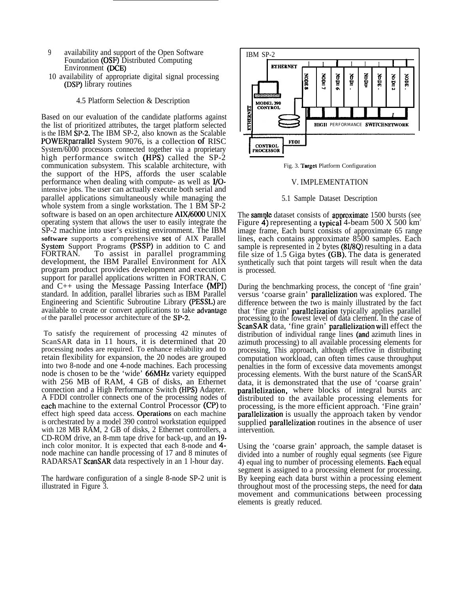- 9 availability and support of the Open Software Foundation (OSF) Distributed Computing Environment (DCE)
- 10 availability of appropriate digital signal processing (DSP) library routines

## 4.5 Platform Selection & Description

Based on our evaluation of the candidate platforms against the list of prioritized attributes, the target platform selected is the IBM SP-2. The IBM SP-2, also known as the Scalable POWERparrallel System 9076, is a collection of RISC System/6000 processors connected together via a proprietary high performance switch (HPS) called the SP-2 communication subsystem. This scalable architecture, with the support of the HPS, affords the user scalable performance when dealing with compute- as well as I/Ointensive jobs. The user can actually execute both serial and parallel applications simultaneously while managing the whole system from a single workstation. The 1 BM SP-2 software is based on an open architecture AIX/6000 UNIX operating system that allows the user to easily integrate the SP-2 machine into user's existing environment. The IBM **software** supports a comprehensive set of AIX Parallel System Support Programs (PSSP) in addition to C and FORTRAN. To assist in parallel programming development, the IBM Parallel Environment for AIX program product provides development and execution support for parallel applications written in FORTRAN, C and C++ using the Message Passing Interface (MPI) standard. In addition, parallel libraries such as IBM Parallel Engineering and Scientific Subroutine Library (PESSL) are available to create or convert applications to take advantage of the parallel processor architecture of the SP-2.

To satisfy the requirement of processing 42 minutes of ScanSAR data in 11 hours, it is determined that 20 processing nodes are required. To enhance reliability and to retain flexibility for expansion, the 20 nodes are grouped into two 8-node and one 4-node machines. Each processing node is chosen to be the 'wide' 66MHz variety equipped with 256 MB of RAM, 4 GB of disks, an Ethernet connection and a High Performance Switch (HPS) Adapter. A FDDI controller connects one of the processing nodes of each machine to the external Control Processor (CP) to effect high speed data access. Operations on each machine is orchestrated by a model 390 control workstation equipped with 128 MB RAM, 2 GB of disks, 2 Ethernet controllers, a CD-ROM drive, an 8-mm tape drive for back-up, and an 19 inch color monitor. It is expected that each 8-node and 4 node machine can handle processing of 17 and 8 minutes of RADARSAT ScanSAR data respectively in an 1 l-hour day.

The hardware configuration of a single 8-node SP-2 unit is illustrated in Figure 3.



Fig. 3. Target Platform Configuration

# V. IMPLEMENTATION

#### 5.1 Sample Dataset Description

The sample dataset consists of approximate 1500 bursts (see Figure 4) representing a typical 4-beam 500 X 500 km<sup>2</sup> image frame, Each burst consists of approximate 65 range lines, each contains approximate 8500 samples. Each sample is represented in 2 bytes (81/8Q) resulting in a data file size of 1.5 Giga bytes (GB). The data is generated synthetically such that point targets will result when the data is processed.

During the benchmarking process, the concept of 'fine grain' versus 'coarse grain' parallelization was explored. The difference between the two is mainly illustrated by the fact that 'fine grain' parallelization typically applies parallel processing to the lowest level of data clement. In the case of ScanSAR data, 'fine grain' parallelization will effect the distribution of individual range lines (and azimuth lines in azimuth processing) to all available processing elements for processing, This approach, although effective in distributing computation workload, can often times cause throughput penalties in the form of excessive data movements amongst processing elements. With the burst nature of the ScanSAR data, it is demonstrated that the use of 'coarse grain' parallelization, where blocks of integral bursts arc distributed to the available processing elements for processing, is the more efficient approach. 'Fine grain' parallelization is usually the approach taken by vendor supplied parallelization routines in the absence of user intervention.

Using the 'coarse grain' approach, the sample dataset is divided into a number of roughly equal segments (see Figure 4) equal ing to number of processing elements. Each equal segment is assigned to a processing element for processing. By keeping each data burst within a processing element throughout most of the processing steps, the need for data movement and communications between processing elements is greatly reduced.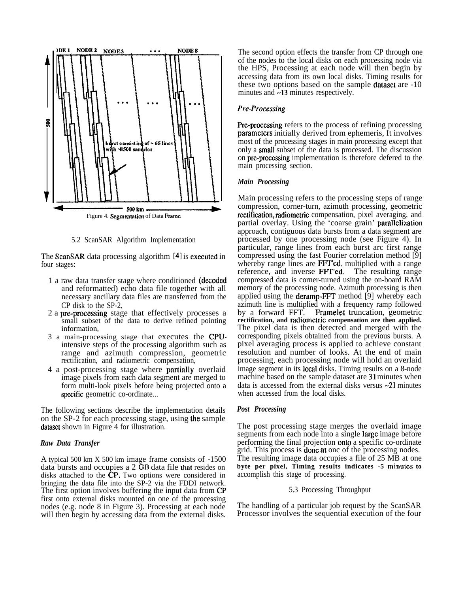

5.2 ScanSAR Algorithm Implementation

The ScanSAR data processing algorithm [4] is executed in four stages:

- 1 a raw data transfer stage where conditioned (deeodcd and reformatted) echo data file together with all necessary ancillary data files are transferred from the CP disk to the SP-2,
- 2 a pre-processing stage that effectively processes a small subset of the data to derive refined pointing information,
- 3 a main-processing stage that executes the CPUintensive steps of the processing algorithm such as range and azimuth compression, geometric rectification, and radiometric compensation,
- 4 a post-processing stage where parlially overlaid image pixels from each data segment are merged to form multi-look pixels before being projected onto a specific geometric co-ordinate...

The following sections describe the implementation details on the SP-2 for each processing stage, using the sample dataset shown in Figure 4 for illustration.

# *Raw Data Transfer*

A typical 500 km X 500 km image frame consists of -1500 data bursts and occupies a 2 GB data file that resides on disks attached to the CP, Two options were considered in bringing the data file into the SP-2 via the FDDI network. The first option involves buffering the input data from CP first onto external disks mounted on one of the processing nodes (e.g. node 8 in Figure 3). Processing at each node will then begin by accessing data from the external disks.

The second option effects the transfer from CP through one of the nodes to the local disks on each processing node via the HPS, Processing at each node will then begin by accessing data from its own local disks. Timing results for these two options based on the sample dataset are -10 minutes and  $\sim$ 13 minutes respectively.

## *Pre-Processing*

Pre-processing refers to the process of refining processing parameters initially derived from ephemeris, It involves most of the processing stages in main processing except that only a small subset of the data is processed. The discussion on pre-processing implementation is therefore defered to the main processing section.

#### *Main Processing*

Main processing refers to the processing steps of range compression, corner-turn, azimuth processing, geometric rectification, radiometric compensation, pixel averaging, and partial overlay. Using the 'coarse grain' parallelization approach, contiguous data bursts from a data segment are processed by one processing node (see Figure 4). In particular, range lines from each burst arc first range compressed using the fast Fourier correlation method [9] whereby range lines are FFT'ed, multiplied with a range reference, and inverse FFT'ed. The resulting range compressed data is corner-turned using the on-board RAM memory of the processing node. Azimuth processing is then applied using the deramp-FFT method [9] whereby each azimuth line is multiplied with a frequency ramp followed by a forward FFT. Framelet truncation, geometric **rectification, and radiometric compensation are then applied.** The pixel data is then detected and merged with the corresponding pixels obtained from the previous bursts. A pixel averaging process is applied to achieve constant resolution and number of looks. At the end of main processing, each processing node will hold an overlaid image segment in its local disks. Timing results on a 8-node machine based on the sample dataset are 31 minutes when data is accessed from the external disks versus -21 minutes when accessed from the local disks.

## *Post Processing*

The post processing stage merges the overlaid image segments from each node into a single large image before performing the final projection **onto** a specific co-ordinate grid. This process is done at onc of the processing nodes. The resulting image data occupies a file of 25 MB at one **byte per pixel, Timing results indicates -5 minuks to** accomplish this stage of processing.

#### 5.3 Processing Throughput

The handling of a particular job request by the ScanSAR Processor involves the sequential execution of the four